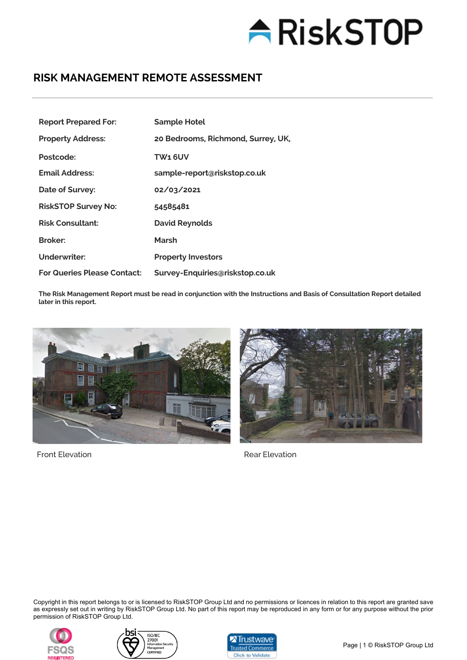# **ARiskSTOP**

### **RISK MANAGEMENT REMOTE ASSESSMENT**

| <b>Report Prepared For:</b>        | <b>Sample Hotel</b>                |
|------------------------------------|------------------------------------|
| <b>Property Address:</b>           | 20 Bedrooms, Richmond, Surrey, UK, |
| Postcode:                          | TW1 6UV                            |
| <b>Email Address:</b>              | sample-report@riskstop.co.uk       |
| Date of Survey:                    | 02/03/2021                         |
| <b>RiskSTOP Survey No:</b>         | 54585481                           |
| <b>Risk Consultant:</b>            | <b>David Reynolds</b>              |
| <b>Broker:</b>                     | Marsh                              |
| Underwriter:                       | <b>Property Investors</b>          |
| <b>For Queries Please Contact:</b> | Survey-Enquiries@riskstop.co.uk    |

**The Risk Management Report must be read in conjunction with the Instructions and Basis of Consultation Report detailed later in this report.**



Front Elevation **Rear Elevation** Rear Elevation



Copyright in this report belongs to or is licensed to RiskSTOP Group Ltd and no permissions or licences in relation to this report are granted save as expressly set out in writing by RiskSTOP Group Ltd. No part of this report may be reproduced in any form or for any purpose without the prior permission of RiskSTOP Group Ltd.





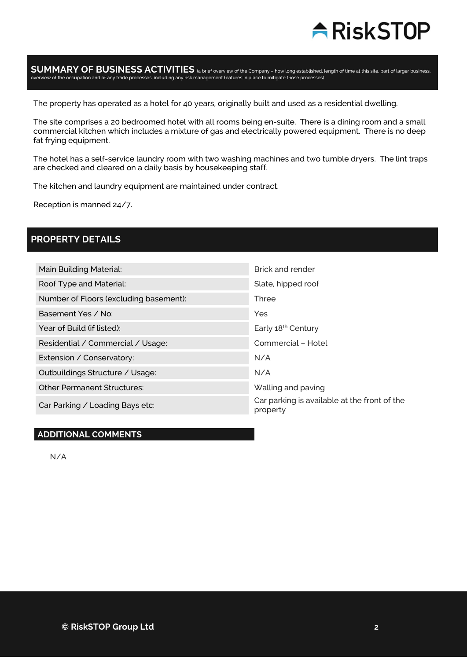

### SUMMARY OF BUSINESS ACTIVITIES (a brief overview of the Company – how long established, length of time at this site, part of larger business,<br>overview of the occupation and of any trade processes, including any risk manage

The property has operated as a hotel for 40 years, originally built and used as a residential dwelling.

The site comprises a 20 bedroomed hotel with all rooms being en-suite. There is a dining room and a small commercial kitchen which includes a mixture of gas and electrically powered equipment. There is no deep fat frying equipment.

The hotel has a self-service laundry room with two washing machines and two tumble dryers. The lint traps are checked and cleared on a daily basis by housekeeping staff.

The kitchen and laundry equipment are maintained under contract.

Reception is manned 24/7.

### **PROPERTY DETAILS**

| Main Building Material:                | Brick and render                                         |
|----------------------------------------|----------------------------------------------------------|
| Roof Type and Material:                | Slate, hipped roof                                       |
| Number of Floors (excluding basement): | Three                                                    |
| Basement Yes / No:                     | <b>Yes</b>                                               |
| Year of Build (if listed):             | Early 18 <sup>th</sup> Century                           |
| Residential / Commercial / Usage:      | Commercial - Hotel                                       |
| Extension / Conservatory:              | N/A                                                      |
| Outbuildings Structure / Usage:        | N/A                                                      |
| <b>Other Permanent Structures:</b>     | Walling and paving                                       |
| Car Parking / Loading Bays etc:        | Car parking is available at the front of the<br>property |

### **ADDITIONAL COMMENTS**

N/A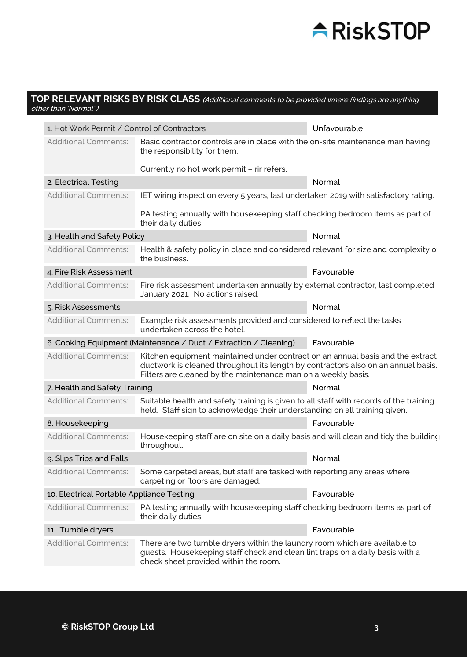### **ARiskSTOP**

### **TOP RELEVANT RISKS BY RISK CLASS** (Additional comments to be provided where findings are anything other than 'Normal' )

| 1. Hot Work Permit / Control of Contractors                       |                                                                                                                                                                                                                                      | Unfavourable |
|-------------------------------------------------------------------|--------------------------------------------------------------------------------------------------------------------------------------------------------------------------------------------------------------------------------------|--------------|
| <b>Additional Comments:</b>                                       | Basic contractor controls are in place with the on-site maintenance man having<br>the responsibility for them.                                                                                                                       |              |
|                                                                   | Currently no hot work permit - rir refers.                                                                                                                                                                                           |              |
| 2. Electrical Testing                                             |                                                                                                                                                                                                                                      | Normal       |
| <b>Additional Comments:</b>                                       | IET wiring inspection every 5 years, last undertaken 2019 with satisfactory rating.                                                                                                                                                  |              |
|                                                                   | PA testing annually with housekeeping staff checking bedroom items as part of<br>their daily duties.                                                                                                                                 |              |
| 3. Health and Safety Policy                                       |                                                                                                                                                                                                                                      | Normal       |
| <b>Additional Comments:</b>                                       | Health & safety policy in place and considered relevant for size and complexity o<br>the business.                                                                                                                                   |              |
| 4. Fire Risk Assessment                                           |                                                                                                                                                                                                                                      | Favourable   |
| <b>Additional Comments:</b>                                       | Fire risk assessment undertaken annually by external contractor, last completed<br>January 2021. No actions raised.                                                                                                                  |              |
| 5. Risk Assessments                                               |                                                                                                                                                                                                                                      | Normal       |
| <b>Additional Comments:</b>                                       | Example risk assessments provided and considered to reflect the tasks<br>undertaken across the hotel.                                                                                                                                |              |
| 6. Cooking Equipment (Maintenance / Duct / Extraction / Cleaning) |                                                                                                                                                                                                                                      | Favourable   |
| <b>Additional Comments:</b>                                       | Kitchen equipment maintained under contract on an annual basis and the extract<br>ductwork is cleaned throughout its length by contractors also on an annual basis.<br>Filters are cleaned by the maintenance man on a weekly basis. |              |
| 7. Health and Safety Training                                     |                                                                                                                                                                                                                                      | Normal       |
| <b>Additional Comments:</b>                                       | Suitable health and safety training is given to all staff with records of the training<br>held. Staff sign to acknowledge their understanding on all training given.                                                                 |              |
| 8. Housekeeping                                                   |                                                                                                                                                                                                                                      | Favourable   |
| <b>Additional Comments:</b>                                       | Housekeeping staff are on site on a daily basis and will clean and tidy the building<br>throughout.                                                                                                                                  |              |
| 9. Slips Trips and Falls                                          |                                                                                                                                                                                                                                      | Normal       |
| <b>Additional Comments:</b>                                       | Some carpeted areas, but staff are tasked with reporting any areas where<br>carpeting or floors are damaged.                                                                                                                         |              |
| 10. Electrical Portable Appliance Testing                         |                                                                                                                                                                                                                                      | Favourable   |
| <b>Additional Comments:</b>                                       | PA testing annually with housekeeping staff checking bedroom items as part of<br>their daily duties                                                                                                                                  |              |
| 11. Tumble dryers                                                 |                                                                                                                                                                                                                                      | Favourable   |
| <b>Additional Comments:</b>                                       | There are two tumble dryers within the laundry room which are available to<br>guests. Housekeeping staff check and clean lint traps on a daily basis with a<br>check sheet provided within the room.                                 |              |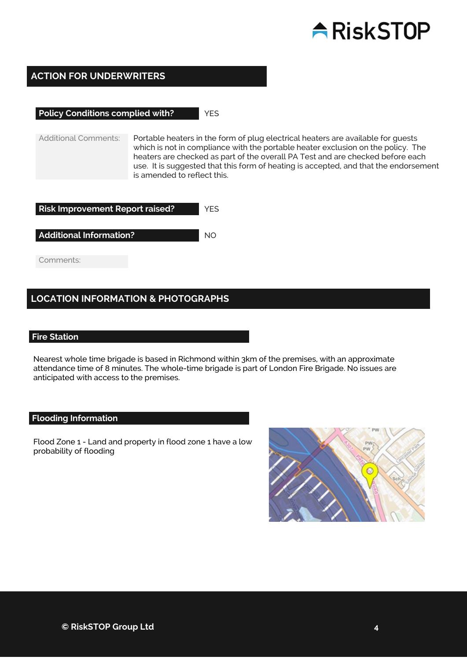## $\triangle$ RiskSTOP

### **ACTION FOR UNDERWRITERS**

### **Policy Conditions complied with?** YES

Additional Comments: Portable heaters in the form of plug electrical heaters are available for guests which is not in compliance with the portable heater exclusion on the policy. The heaters are checked as part of the overall PA Test and are checked before each use. It is suggested that this form of heating is accepted, and that the endorsement is amended to reflect this.

| <b>Risk Improvement Report raised?</b> |  |
|----------------------------------------|--|
| <b>Additional Information?</b>         |  |
| Comments:                              |  |

### **LOCATION INFORMATION & PHOTOGRAPHS**

#### **Fire Station**

Nearest whole time brigade is based in Richmond within 3km of the premises, with an approximate attendance time of 8 minutes. The whole-time brigade is part of London Fire Brigade. No issues are anticipated with access to the premises.

#### **Flooding Information**

Flood Zone 1 - Land and property in flood zone 1 have a low probability of flooding

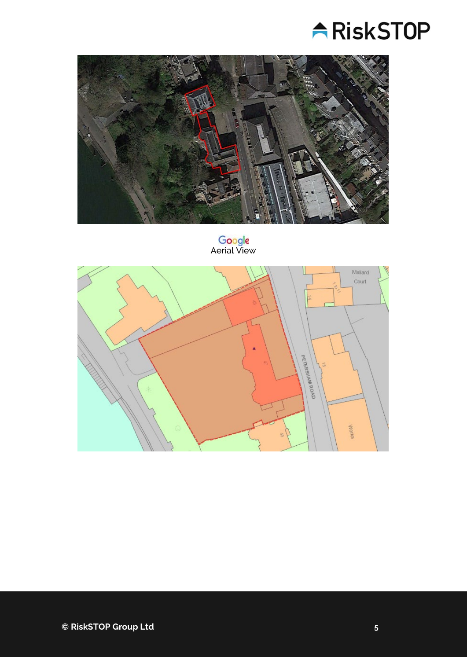



Google<br>Aerial View